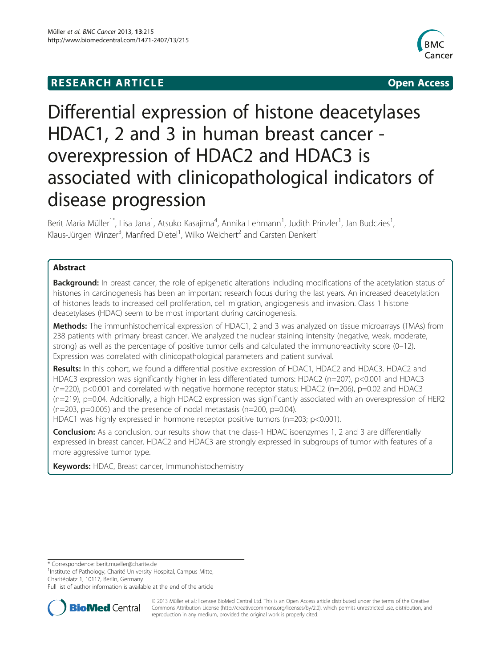# **RESEARCH ARTICLE Example 2014 12:30 The SEAR CHA R TIGGS**



# Differential expression of histone deacetylases HDAC1, 2 and 3 in human breast cancer overexpression of HDAC2 and HDAC3 is associated with clinicopathological indicators of disease progression

Berit Maria Müller<sup>1\*</sup>, Lisa Jana<sup>1</sup>, Atsuko Kasajima<sup>4</sup>, Annika Lehmann<sup>1</sup>, Judith Prinzler<sup>1</sup>, Jan Budczies<sup>1</sup> , Klaus-Jürgen Winzer<sup>3</sup>, Manfred Dietel<sup>1</sup>, Wilko Weichert<sup>2</sup> and Carsten Denkert<sup>1</sup>

# Abstract

Background: In breast cancer, the role of epigenetic alterations including modifications of the acetylation status of histones in carcinogenesis has been an important research focus during the last years. An increased deacetylation of histones leads to increased cell proliferation, cell migration, angiogenesis and invasion. Class 1 histone deacetylases (HDAC) seem to be most important during carcinogenesis.

Methods: The immunhistochemical expression of HDAC1, 2 and 3 was analyzed on tissue microarrays (TMAs) from 238 patients with primary breast cancer. We analyzed the nuclear staining intensity (negative, weak, moderate, strong) as well as the percentage of positive tumor cells and calculated the immunoreactivity score (0–12). Expression was correlated with clinicopathological parameters and patient survival.

Results: In this cohort, we found a differential positive expression of HDAC1, HDAC2 and HDAC3. HDAC2 and HDAC3 expression was significantly higher in less differentiated tumors: HDAC2 (n=207), p<0.001 and HDAC3 (n=220), p<0.001 and correlated with negative hormone receptor status: HDAC2 (n=206), p=0.02 and HDAC3 (n=219), p=0.04. Additionally, a high HDAC2 expression was significantly associated with an overexpression of HER2  $(n=203, p=0.005)$  and the presence of nodal metastasis  $(n=200, p=0.04)$ .

HDAC1 was highly expressed in hormone receptor positive tumors (n=203; p<0.001).

**Conclusion:** As a conclusion, our results show that the class-1 HDAC isoenzymes 1, 2 and 3 are differentially expressed in breast cancer. HDAC2 and HDAC3 are strongly expressed in subgroups of tumor with features of a more aggressive tumor type.

Keywords: HDAC, Breast cancer, Immunohistochemistry

\* Correspondence: [berit.mueller@charite.de](mailto:berit.mueller@charite.de) <sup>1</sup>

<sup>1</sup>Institute of Pathology, Charité University Hospital, Campus Mitte, Charitéplatz 1, 10117, Berlin, Germany

Full list of author information is available at the end of the article



© 2013 Müller et al.; licensee BioMed Central Ltd. This is an Open Access article distributed under the terms of the Creative Commons Attribution License [\(http://creativecommons.org/licenses/by/2.0\)](http://creativecommons.org/licenses/by/2.0), which permits unrestricted use, distribution, and reproduction in any medium, provided the original work is properly cited.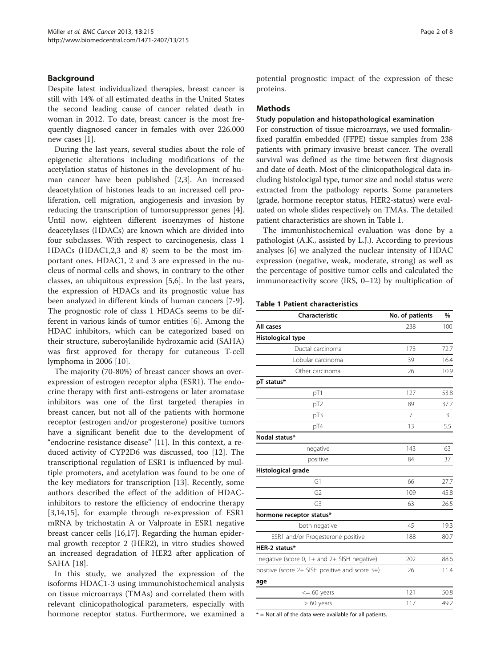# Background

Despite latest individualized therapies, breast cancer is still with 14% of all estimated deaths in the United States the second leading cause of cancer related death in woman in 2012. To date, breast cancer is the most frequently diagnosed cancer in females with over 226.000 new cases [\[1](#page-6-0)].

During the last years, several studies about the role of epigenetic alterations including modifications of the acetylation status of histones in the development of human cancer have been published [[2,3\]](#page-6-0). An increased deacetylation of histones leads to an increased cell proliferation, cell migration, angiogenesis and invasion by reducing the transcription of tumorsuppressor genes [\[4](#page-6-0)]. Until now, eighteen different isoenzymes of histone deacetylases (HDACs) are known which are divided into four subclasses. With respect to carcinogenesis, class 1 HDACs (HDAC1,2,3 and 8) seem to be the most important ones. HDAC1, 2 and 3 are expressed in the nucleus of normal cells and shows, in contrary to the other classes, an ubiquitous expression [\[5,6](#page-6-0)]. In the last years, the expression of HDACs and its prognostic value has been analyzed in different kinds of human cancers [[7-9](#page-6-0)]. The prognostic role of class 1 HDACs seems to be different in various kinds of tumor entities [\[6](#page-6-0)]. Among the HDAC inhibitors, which can be categorized based on their structure, suberoylanilide hydroxamic acid (SAHA) was first approved for therapy for cutaneous T-cell lymphoma in 2006 [[10](#page-6-0)].

The majority (70-80%) of breast cancer shows an overexpression of estrogen receptor alpha (ESR1). The endocrine therapy with first anti-estrogens or later aromatase inhibitors was one of the first targeted therapies in breast cancer, but not all of the patients with hormone receptor (estrogen and/or progesterone) positive tumors have a significant benefit due to the development of "endocrine resistance disease" [\[11](#page-6-0)]. In this context, a reduced activity of CYP2D6 was discussed, too [\[12\]](#page-6-0). The transcriptional regulation of ESR1 is influenced by multiple promoters, and acetylation was found to be one of the key mediators for transcription [[13](#page-6-0)]. Recently, some authors described the effect of the addition of HDACinhibitors to restore the efficiency of endocrine therapy [[3,14,15\]](#page-6-0), for example through re-expression of ESR1 mRNA by trichostatin A or Valproate in ESR1 negative breast cancer cells [[16,17\]](#page-6-0). Regarding the human epidermal growth receptor 2 (HER2), in vitro studies showed an increased degradation of HER2 after application of SAHA [[18](#page-6-0)].

In this study, we analyzed the expression of the isoforms HDAC1-3 using immunohistochemical analysis on tissue microarrays (TMAs) and correlated them with relevant clinicopathological parameters, especially with hormone receptor status. Furthermore, we examined a potential prognostic impact of the expression of these proteins.

### **Methods**

#### Study population and histopathological examination

For construction of tissue microarrays, we used formalinfixed paraffin embedded (FFPE) tissue samples from 238 patients with primary invasive breast cancer. The overall survival was defined as the time between first diagnosis and date of death. Most of the clinicopathological data including histolocigal type, tumor size and nodal status were extracted from the pathology reports. Some parameters (grade, hormone receptor status, HER2-status) were evaluated on whole slides respectively on TMAs. The detailed patient characteristics are shown in Table 1.

The immunhistochemical evaluation was done by a pathologist (A.K., assisted by L.J.). According to previous analyses [[6\]](#page-6-0) we analyzed the nuclear intensity of HDAC expression (negative, weak, moderate, strong) as well as the percentage of positive tumor cells and calculated the immunoreactivity score (IRS, 0–12) by multiplication of

#### Table 1 Patient characteristics

| Characteristic                                 | No. of patients | $\%$ |
|------------------------------------------------|-----------------|------|
| All cases                                      | 238             | 100  |
| Histological type                              |                 |      |
| Ductal carcinoma                               | 173             | 72.7 |
| Lobular carcinoma                              | 39              | 16.4 |
| Other carcinoma                                | 26              | 10.9 |
| pT status*                                     |                 |      |
| pT1                                            | 127             | 53.8 |
| pT <sub>2</sub>                                | 89              | 37.7 |
| pT3                                            | $\overline{7}$  | 3    |
| pT4                                            | 13              | 5.5  |
| Nodal status*                                  |                 |      |
| negative                                       | 143             | 63   |
| positive                                       | 84              | 37   |
| Histological grade                             |                 |      |
| G1                                             | 66              | 27.7 |
| G <sub>2</sub>                                 | 109             | 45.8 |
| G <sub>3</sub>                                 | 63              | 26.5 |
| hormone receptor status*                       |                 |      |
| both negative                                  | 45              | 19.3 |
| ESR1 and/or Progesterone positive              | 188             | 80.7 |
| HER-2 status*                                  |                 |      |
| negative (score 0, 1+ and 2+ SISH negative)    | 202             | 88.6 |
| positive (score 2+ SISH positive and score 3+) | 26              | 11.4 |
| age                                            |                 |      |
| $<= 60$ years                                  | 121             | 50.8 |
| $> 60$ years                                   | 117             | 49.2 |

 $*$  = Not all of the data were available for all patients.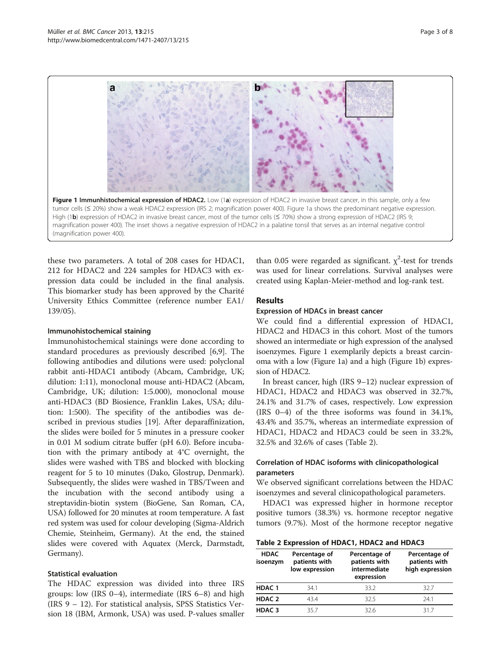

these two parameters. A total of 208 cases for HDAC1, 212 for HDAC2 and 224 samples for HDAC3 with expression data could be included in the final analysis. This biomarker study has been approved by the Charité University Ethics Committee (reference number EA1/ 139/05).

### Immunohistochemical staining

Immunohistochemical stainings were done according to standard procedures as previously described [\[6,9](#page-6-0)]. The following antibodies and dilutions were used: polyclonal rabbit anti-HDAC1 antibody (Abcam, Cambridge, UK; dilution: 1:11), monoclonal mouse anti-HDAC2 (Abcam, Cambridge, UK; dilution: 1:5.000), monoclonal mouse anti-HDAC3 (BD Biosience, Franklin Lakes, USA; dilution: 1:500). The specifity of the antibodies was described in previous studies [[19](#page-6-0)]. After deparaffinization, the slides were boiled for 5 minutes in a pressure cooker in 0.01 M sodium citrate buffer (pH 6.0). Before incubation with the primary antibody at 4°C overnight, the slides were washed with TBS and blocked with blocking reagent for 5 to 10 minutes (Dako, Glostrup, Denmark). Subsequently, the slides were washed in TBS/Tween and the incubation with the second antibody using a streptavidin-biotin system (BioGene, San Roman, CA, USA) followed for 20 minutes at room temperature. A fast red system was used for colour developing (Sigma-Aldrich Chemie, Steinheim, Germany). At the end, the stained slides were covered with Aquatex (Merck, Darmstadt, Germany).

# Statistical evaluation

The HDAC expression was divided into three IRS groups: low (IRS 0–4), intermediate (IRS 6–8) and high (IRS 9 – 12). For statistical analysis, SPSS Statistics Version 18 (IBM, Armonk, USA) was used. P-values smaller than 0.05 were regarded as significant.  $\chi^2$ -test for trends was used for linear correlations. Survival analyses were created using Kaplan-Meier-method and log-rank test.

# **Results**

#### Expression of HDACs in breast cancer

We could find a differential expression of HDAC1, HDAC2 and HDAC3 in this cohort. Most of the tumors showed an intermediate or high expression of the analysed isoenzymes. Figure 1 exemplarily depicts a breast carcinoma with a low (Figure 1a) and a high (Figure 1b) expression of HDAC2.

In breast cancer, high (IRS 9–12) nuclear expression of HDAC1, HDAC2 and HDAC3 was observed in 32.7%, 24.1% and 31.7% of cases, respectively. Low expression (IRS 0–4) of the three isoforms was found in 34.1%, 43.4% and 35.7%, whereas an intermediate expression of HDAC1, HDAC2 and HDAC3 could be seen in 33.2%, 32.5% and 32.6% of cases (Table 2).

# Correlation of HDAC isoforms with clinicopathological parameters

We observed significant correlations between the HDAC isoenzymes and several clinicopathological parameters.

HDAC1 was expressed higher in hormone receptor positive tumors (38.3%) vs. hormone receptor negative tumors (9.7%). Most of the hormone receptor negative

| Table 2 Expression of HDAC1, HDAC2 and HDAC3 |  |  |  |
|----------------------------------------------|--|--|--|
|----------------------------------------------|--|--|--|

| <b>HDAC</b><br>isoenzym | Percentage of<br>patients with<br>low expression | Percentage of<br>patients with<br>intermediate<br>expression | Percentage of<br>patients with<br>high expression |
|-------------------------|--------------------------------------------------|--------------------------------------------------------------|---------------------------------------------------|
| <b>HDAC1</b>            | 341                                              | 332                                                          | 327                                               |
| HDAC <sub>2</sub>       | 434                                              | 325                                                          | 241                                               |
| HDAC <sub>3</sub>       | 357                                              | 326                                                          | 317                                               |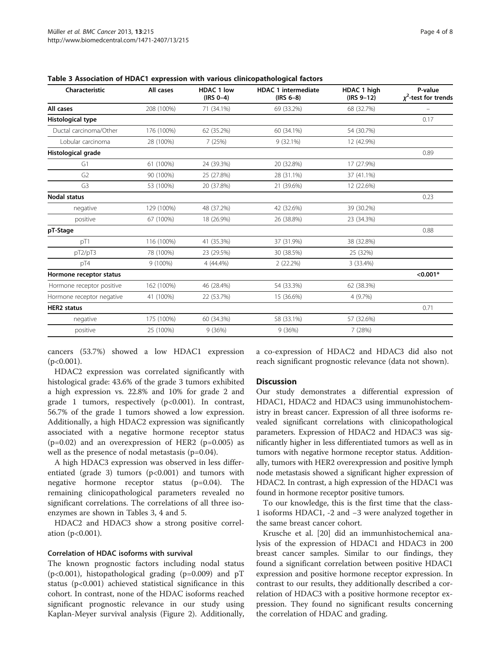| Characteristic            | All cases  | <b>HDAC 1 low</b><br>$(IRS 0-4)$ | <b>HDAC 1 intermediate</b><br>$(IRS 6-8)$ | HDAC 1 high<br>$(IRS 9-12)$ | P-value<br>$\chi^2$ -test for trends |
|---------------------------|------------|----------------------------------|-------------------------------------------|-----------------------------|--------------------------------------|
| All cases                 | 208 (100%) | 71 (34.1%)                       | 69 (33.2%)                                | 68 (32.7%)                  |                                      |
| Histological type         |            |                                  |                                           |                             | 0.17                                 |
| Ductal carcinoma/Other    | 176 (100%) | 62 (35.2%)                       | 60 (34.1%)                                | 54 (30.7%)                  |                                      |
| Lobular carcinoma         | 28 (100%)  | 7 (25%)                          | 9(32.1%)                                  | 12 (42.9%)                  |                                      |
| Histological grade        |            |                                  |                                           |                             | 0.89                                 |
| G1                        | 61 (100%)  | 24 (39.3%)                       | 20 (32.8%)                                | 17 (27.9%)                  |                                      |
| G <sub>2</sub>            | 90 (100%)  | 25 (27.8%)                       | 28 (31.1%)                                | 37 (41.1%)                  |                                      |
| G <sub>3</sub>            | 53 (100%)  | 20 (37.8%)                       | 21 (39.6%)                                | 12 (22.6%)                  |                                      |
| <b>Nodal status</b>       |            |                                  |                                           |                             | 0.23                                 |
| negative                  | 129 (100%) | 48 (37.2%)                       | 42 (32.6%)                                | 39 (30.2%)                  |                                      |
| positive                  | 67 (100%)  | 18 (26.9%)                       | 26 (38.8%)                                | 23 (34.3%)                  |                                      |
| pT-Stage                  |            |                                  |                                           |                             | 0.88                                 |
| pT1                       | 116 (100%) | 41 (35.3%)                       | 37 (31.9%)                                | 38 (32.8%)                  |                                      |
| pT2/pT3                   | 78 (100%)  | 23 (29.5%)                       | 30 (38.5%)                                | 25 (32%)                    |                                      |
| pT4                       | 9 (100%)   | 4 (44.4%)                        | 2(22.2%)                                  | 3 (33.4%)                   |                                      |
| Hormone receptor status   |            |                                  |                                           |                             | $< 0.001*$                           |
| Hormone receptor positive | 162 (100%) | 46 (28.4%)                       | 54 (33.3%)                                | 62 (38.3%)                  |                                      |
| Hormone receptor negative | 41 (100%)  | 22 (53.7%)                       | 15 (36.6%)                                | 4 (9.7%)                    |                                      |
| <b>HER2</b> status        |            |                                  |                                           |                             | 0.71                                 |
| negative                  | 175 (100%) | 60 (34.3%)                       | 58 (33.1%)                                | 57 (32.6%)                  |                                      |
| positive                  | 25 (100%)  | 9(36%)                           | 9(36%)                                    | 7(28%)                      |                                      |
|                           |            |                                  |                                           |                             |                                      |

Table 3 Association of HDAC1 expression with various clinicopathological factors

cancers (53.7%) showed a low HDAC1 expression  $(p<0.001)$ .

HDAC2 expression was correlated significantly with histological grade: 43.6% of the grade 3 tumors exhibited a high expression vs. 22.8% and 10% for grade 2 and grade 1 tumors, respectively (p<0.001). In contrast, 56.7% of the grade 1 tumors showed a low expression. Additionally, a high HDAC2 expression was significantly associated with a negative hormone receptor status  $(p=0.02)$  and an overexpression of HER2  $(p=0.005)$  as well as the presence of nodal metastasis (p=0.04).

A high HDAC3 expression was observed in less differentiated (grade 3) tumors  $(p<0.001)$  and tumors with negative hormone receptor status (p=0.04). The remaining clinicopathological parameters revealed no significant correlations. The correlations of all three isoenzymes are shown in Tables 3, [4](#page-4-0) and [5.](#page-4-0)

HDAC2 and HDAC3 show a strong positive correlation (p<0.001).

#### Correlation of HDAC isoforms with survival

The known prognostic factors including nodal status  $(p<0.001)$ , histopathological grading  $(p=0.009)$  and  $pT$ status (p<0.001) achieved statistical significance in this cohort. In contrast, none of the HDAC isoforms reached significant prognostic relevance in our study using Kaplan-Meyer survival analysis (Figure [2\)](#page-5-0). Additionally,

a co-expression of HDAC2 and HDAC3 did also not reach significant prognostic relevance (data not shown).

### **Discussion**

Our study demonstrates a differential expression of HDAC1, HDAC2 and HDAC3 using immunohistochemistry in breast cancer. Expression of all three isoforms revealed significant correlations with clinicopathological parameters. Expression of HDAC2 and HDAC3 was significantly higher in less differentiated tumors as well as in tumors with negative hormone receptor status. Additionally, tumors with HER2 overexpression and positive lymph node metastasis showed a significant higher expression of HDAC2. In contrast, a high expression of the HDAC1 was found in hormone receptor positive tumors.

To our knowledge, this is the first time that the class-1 isoforms HDAC1, -2 and −3 were analyzed together in the same breast cancer cohort.

Krusche et al. [\[20](#page-6-0)] did an immunhistochemical analysis of the expression of HDAC1 and HDAC3 in 200 breast cancer samples. Similar to our findings, they found a significant correlation between positive HDAC1 expression and positive hormone receptor expression. In contrast to our results, they additionally described a correlation of HDAC3 with a positive hormone receptor expression. They found no significant results concerning the correlation of HDAC and grading.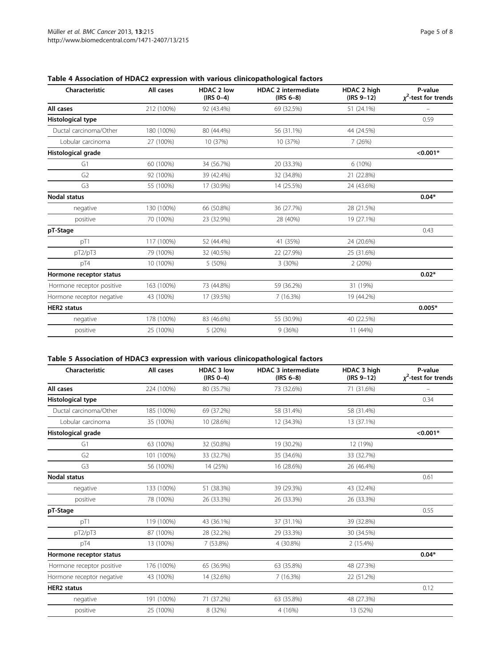|                           |            | <b>HDAC 2 low</b><br>$(IRS 0-4)$ | <b>HDAC 2 intermediate</b><br>$(IRS 6-8)$ | HDAC 2 high<br>$(IRS 9-12)$ | P-value<br>$x^2$ -test for trends |
|---------------------------|------------|----------------------------------|-------------------------------------------|-----------------------------|-----------------------------------|
| All cases                 | 212 (100%) | 92 (43.4%)                       | 69 (32.5%)                                | 51 (24.1%)                  |                                   |
| Histological type         |            |                                  |                                           |                             | 0.59                              |
| Ductal carcinoma/Other    | 180 (100%) | 80 (44.4%)                       | 56 (31.1%)                                | 44 (24.5%)                  |                                   |
| Lobular carcinoma         | 27 (100%)  | 10 (37%)                         | 10 (37%)                                  | 7(26%)                      |                                   |
| Histological grade        |            |                                  |                                           |                             | $< 0.001*$                        |
| G1                        | 60 (100%)  | 34 (56.7%)                       | 20 (33.3%)                                | 6 (10%)                     |                                   |
| G <sub>2</sub>            | 92 (100%)  | 39 (42.4%)                       | 32 (34.8%)                                | 21 (22.8%)                  |                                   |
| G <sub>3</sub>            | 55 (100%)  | 17 (30.9%)                       | 14 (25.5%)                                | 24 (43.6%)                  |                                   |
| <b>Nodal status</b>       |            |                                  |                                           |                             | $0.04*$                           |
| negative                  | 130 (100%) | 66 (50.8%)                       | 36 (27.7%)                                | 28 (21.5%)                  |                                   |
| positive                  | 70 (100%)  | 23 (32.9%)                       | 28 (40%)                                  | 19 (27.1%)                  |                                   |
| pT-Stage                  |            |                                  |                                           |                             | 0.43                              |
| pT1                       | 117 (100%) | 52 (44.4%)                       | 41 (35%)                                  | 24 (20.6%)                  |                                   |
| pT2/pT3                   | 79 (100%)  | 32 (40.5%)                       | 22 (27.9%)                                | 25 (31.6%)                  |                                   |
| pT4                       | 10 (100%)  | 5 (50%)                          | 3(30%)                                    | 2(20%)                      |                                   |
| Hormone receptor status   |            |                                  |                                           |                             | $0.02*$                           |
| Hormone receptor positive | 163 (100%) | 73 (44.8%)                       | 59 (36.2%)                                | 31 (19%)                    |                                   |
| Hormone receptor negative | 43 (100%)  | 17 (39.5%)                       | 7(16.3%)                                  | 19 (44.2%)                  |                                   |
| <b>HER2</b> status        |            |                                  |                                           |                             | $0.005*$                          |
| negative                  | 178 (100%) | 83 (46.6%)                       | 55 (30.9%)                                | 40 (22.5%)                  |                                   |
| positive                  | 25 (100%)  | 5 (20%)                          | 9(36%)                                    | 11 (44%)                    |                                   |

# <span id="page-4-0"></span>Table 4 Association of HDAC2 expression with various clinicopathological factors

# Table 5 Association of HDAC3 expression with various clinicopathological factors

| Characteristic            | All cases  | <b>HDAC 3 low</b><br>$(IRS 0-4)$ | <b>HDAC 3 intermediate</b><br>$(IRS 6-8)$ | HDAC 3 high<br>$(IRS 9-12)$ | P-value<br>$\chi^2$ -test for trends |
|---------------------------|------------|----------------------------------|-------------------------------------------|-----------------------------|--------------------------------------|
| All cases                 | 224 (100%) | 80 (35.7%)                       | 73 (32.6%)                                | 71 (31.6%)                  |                                      |
| Histological type         |            |                                  |                                           |                             | 0.34                                 |
| Ductal carcinoma/Other    | 185 (100%) | 69 (37.2%)                       | 58 (31.4%)                                | 58 (31.4%)                  |                                      |
| Lobular carcinoma         | 35 (100%)  | 10 (28.6%)                       | 12 (34.3%)                                | 13 (37.1%)                  |                                      |
| Histological grade        |            |                                  |                                           |                             | $< 0.001*$                           |
| G1                        | 63 (100%)  | 32 (50.8%)                       | 19 (30.2%)                                | 12 (19%)                    |                                      |
| G <sub>2</sub>            | 101 (100%) | 33 (32.7%)                       | 35 (34.6%)                                | 33 (32.7%)                  |                                      |
| G <sub>3</sub>            | 56 (100%)  | 14 (25%)                         | 16 (28.6%)                                | 26 (46.4%)                  |                                      |
| <b>Nodal status</b>       |            |                                  |                                           |                             | 0.61                                 |
| negative                  | 133 (100%) | 51 (38.3%)                       | 39 (29.3%)                                | 43 (32.4%)                  |                                      |
| positive                  | 78 (100%)  | 26 (33.3%)                       | 26 (33.3%)                                | 26 (33.3%)                  |                                      |
| pT-Stage                  |            |                                  |                                           |                             | 0.55                                 |
| pT1                       | 119 (100%) | 43 (36.1%)                       | 37 (31.1%)                                | 39 (32.8%)                  |                                      |
| pT2/pT3                   | 87 (100%)  | 28 (32.2%)                       | 29 (33.3%)                                | 30 (34.5%)                  |                                      |
| pT4                       | 13 (100%)  | 7 (53.8%)                        | 4 (30.8%)                                 | 2 (15.4%)                   |                                      |
| Hormone receptor status   |            |                                  |                                           |                             | $0.04*$                              |
| Hormone receptor positive | 176 (100%) | 65 (36.9%)                       | 63 (35.8%)                                | 48 (27.3%)                  |                                      |
| Hormone receptor negative | 43 (100%)  | 14 (32.6%)                       | 7 (16.3%)                                 | 22 (51.2%)                  |                                      |
| <b>HER2</b> status        |            |                                  |                                           |                             | 0.12                                 |
| negative                  | 191 (100%) | 71 (37.2%)                       | 63 (35.8%)                                | 48 (27.3%)                  |                                      |
| positive                  | 25 (100%)  | 8 (32%)                          | 4 (16%)                                   | 13 (52%)                    |                                      |
|                           |            |                                  |                                           |                             |                                      |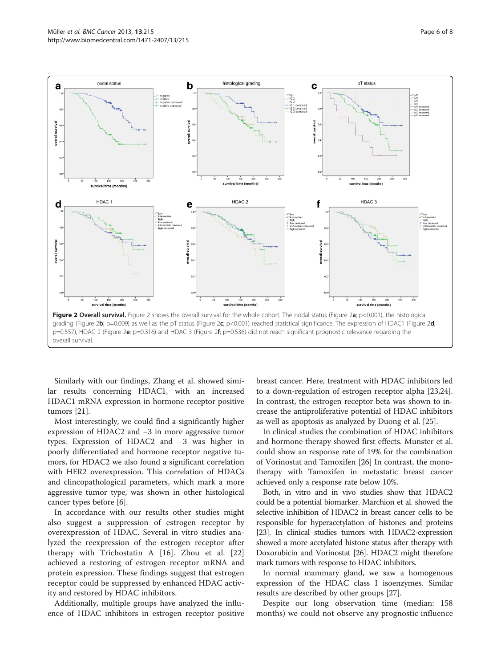<span id="page-5-0"></span>

Similarly with our findings, Zhang et al. showed similar results concerning HDAC1, with an increased HDAC1 mRNA expression in hormone receptor positive tumors [\[21\]](#page-6-0).

Most interestingly, we could find a significantly higher expression of HDAC2 and −3 in more aggressive tumor types. Expression of HDAC2 and −3 was higher in poorly differentiated and hormone receptor negative tumors, for HDAC2 we also found a significant correlation with HER2 overexpression. This correlation of HDACs and clincopathological parameters, which mark a more aggressive tumor type, was shown in other histological cancer types before [[6\]](#page-6-0).

In accordance with our results other studies might also suggest a suppression of estrogen receptor by overexpression of HDAC. Several in vitro studies analyzed the reexpression of the estrogen receptor after therapy with Trichostatin A [[16](#page-6-0)]. Zhou et al. [\[22](#page-6-0)] achieved a restoring of estrogen receptor mRNA and protein expression. These findings suggest that estrogen receptor could be suppressed by enhanced HDAC activity and restored by HDAC inhibitors.

Additionally, multiple groups have analyzed the influence of HDAC inhibitors in estrogen receptor positive

breast cancer. Here, treatment with HDAC inhibitors led to a down-regulation of estrogen receptor alpha [\[23,24](#page-6-0)]. In contrast, the estrogen receptor beta was shown to increase the antiproliferative potential of HDAC inhibitors as well as apoptosis as analyzed by Duong et al. [[25\]](#page-6-0).

In clinical studies the combination of HDAC inhibitors and hormone therapy showed first effects. Munster et al. could show an response rate of 19% for the combination of Vorinostat and Tamoxifen [\[26](#page-6-0)] In contrast, the monotherapy with Tamoxifen in metastatic breast cancer achieved only a response rate below 10%.

Both, in vitro and in vivo studies show that HDAC2 could be a potential biomarker. Marchion et al. showed the selective inhibition of HDAC2 in breast cancer cells to be responsible for hyperacetylation of histones and proteins [[23](#page-6-0)]. In clinical studies tumors with HDAC2-expression showed a more acetylated histone status after therapy with Doxorubicin and Vorinostat [\[26\]](#page-6-0). HDAC2 might therefore mark tumors with response to HDAC inhibitors.

In normal mammary gland, we saw a homogenous expression of the HDAC class I isoenzymes. Similar results are described by other groups [[27](#page-7-0)].

Despite our long observation time (median: 158 months) we could not observe any prognostic influence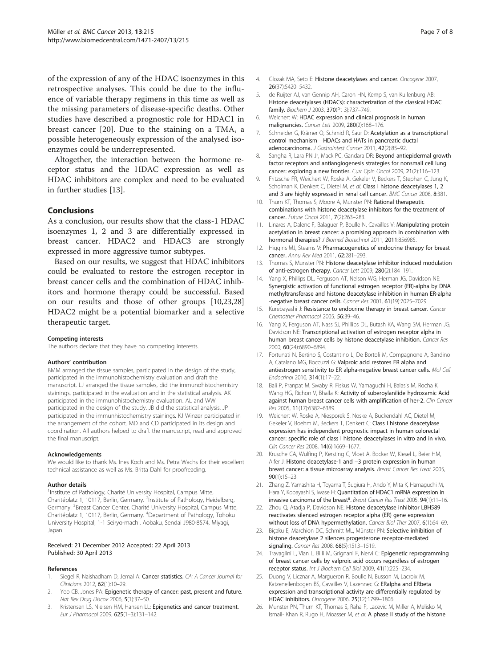<span id="page-6-0"></span>of the expression of any of the HDAC isoenzymes in this retrospective analyses. This could be due to the influence of variable therapy regimens in this time as well as the missing parameters of disease-specific deaths. Other studies have described a prognostic role for HDAC1 in breast cancer [20]. Due to the staining on a TMA, a possible heterogeneously expression of the analysed isoenzymes could be underrepresented.

Altogether, the interaction between the hormone receptor status and the HDAC expression as well as HDAC inhibitors are complex and need to be evaluated in further studies [13].

# Conclusions

As a conclusion, our results show that the class-1 HDAC isoenzymes 1, 2 and 3 are differentially expressed in breast cancer. HDAC2 and HDAC3 are strongly expressed in more aggressive tumor subtypes.

Based on our results, we suggest that HDAC inhibitors could be evaluated to restore the estrogen receptor in breast cancer cells and the combination of HDAC inhibitors and hormone therapy could be successful. Based on our results and those of other groups [10,23,[28](#page-7-0)] HDAC2 might be a potential biomarker and a selective therapeutic target.

#### Competing interests

The authors declare that they have no competing interests.

#### Authors' contribution

BMM arranged the tissue samples, participated in the design of the study, participated in the immunohistochemistry evaluation and draft the manuscript. LJ arranged the tissue samples, did the immunohistochemistry stainings, participated in the evaluation and in the statistical analysis. AK participated in the immunohistochemistry evaluation. AL and WW participated in the design of the study. JB did the statistical analysis. JP participated in the immunhistochemistry stainings. KJ Winzer participated in the arrangement of the cohort. MD and CD participated in its design and coordination. All authors helped to draft the manuscript, read and approved the final manuscript.

#### Acknowledgements

We would like to thank Ms. Ines Koch and Ms. Petra Wachs for their excellent technical assistance as well as Ms. Britta Dahl for proofreading.

#### Author details

<sup>1</sup>Institute of Pathology, Charité University Hospital, Campus Mitte, Charitéplatz 1, 10117, Berlin, Germany. <sup>2</sup>Institute of Pathology, Heidelberg, Germany. <sup>3</sup>Breast Cancer Center, Charité University Hospital, Campus Mitte, Charitéplatz 1, 10117, Berlin, Germany. <sup>4</sup>Department of Pathology, Tohoku University Hospital, 1-1 Seiryo-machi, Aobaku, Sendai J980-8574, Miyagi, Japan.

#### Received: 21 December 2012 Accepted: 22 April 2013 Published: 30 April 2013

#### References

- Siegel R, Naishadham D, Jemal A: Cancer statistics. CA: A Cancer Journal for Clinicians 2012, 62(1):10–29.
- Yoo CB, Jones PA: Epigenetic therapy of cancer: past, present and future. Nat Rev Drug Discov 2006, 5(1):37–50.
- 3. Kristensen LS, Nielsen HM, Hansen LL: Epigenetics and cancer treatment. Eur J Pharmacol 2009, 625(1–3):131–142.
- 4. Glozak MA, Seto E: Histone deacetylases and cancer. Oncogene 2007, 26(37):5420–5432.
- 5. de Ruijter AJ, van Gennip AH, Caron HN, Kemp S, van Kuilenburg AB: Histone deacetylases (HDACs): characterization of the classical HDAC family. Biochem J 2003, 370(Pt 3):737–749.
- 6. Weichert W: HDAC expression and clinical prognosis in human malignancies. Cancer Lett 2009, 280(2):168–176.
- 7. Schneider G, Krämer O, Schmid R, Saur D: Acetylation as a transcriptional control mechanism—HDACs and HATs in pancreatic ductal adenocarcinoma. J Gastrointest Cancer 2011, 42(2):85-92.
- 8. Sangha R, Lara PN Jr, Mack PC, Gandara DR: Beyond antiepidermal growth factor receptors and antiangiogenesis strategies for nonsmall cell lung cancer: exploring a new frontier. Curr Opin Oncol 2009, 21(2):116-123.
- 9. Fritzsche FR, Weichert W, Roske A, Gekeler V, Beckers T, Stephan C, Jung K, Scholman K, Denkert C, Dietel M, et al: Class I histone deacetylases 1, 2 and 3 are highly expressed in renal cell cancer. BMC Cancer 2008, 8:381.
- 10. Thurn KT, Thomas S, Moore A, Munster PN: Rational therapeutic combinations with histone deacetylase inhibitors for the treatment of cancer. Future Oncol 2011, 7(2):263–283.
- 11. Linares A, Dalenc F, Balaguer P, Boulle N, Cavailles V: Manipulating protein acetylation in breast cancer: a promising approach in combination with hormonal therapies? J Biomed Biotechnol 2011, 2011:856985.
- 12. Higgins MJ, Stearns V: Pharmacogenetics of endocrine therapy for breast cancer. Annu Rev Med 2011, 62:281–293.
- 13. Thomas S, Munster PN: Histone deacetylase inhibitor induced modulation of anti-estrogen therapy. Cancer Lett 2009, 280(2):184–191.
- 14. Yang X, Phillips DL, Ferguson AT, Nelson WG, Herman JG, Davidson NE: Synergistic activation of functional estrogen receptor (ER)-alpha by DNA methyltransferase and histone deacetylase inhibition in human ER-alpha -negative breast cancer cells. Cancer Res 2001, 61(19):7025-7029
- 15. Kurebayashi J: Resistance to endocrine therapy in breast cancer. Cancer Chemother Pharmacol 2005, 56:39–46.
- 16. Yang X, Ferguson AT, Nass SJ, Phillips DL, Butash KA, Wang SM, Herman JG, Davidson NE: Transcriptional activation of estrogen receptor alpha in human breast cancer cells by histone deacetylase inhibition. Cancer Res 2000, 60(24):6890–6894.
- 17. Fortunati N, Bertino S, Costantino L, De Bortoli M, Compagnone A, Bandino A, Catalano MG, Boccuzzi G: Valproic acid restores ER alpha and antiestrogen sensitivity to ER alpha-negative breast cancer cells. Mol Cell Endocrinol 2010, 314(1):17–22.
- 18. Bali P, Pranpat M, Swaby R, Fiskus W, Yamaguchi H, Balasis M, Rocha K, Wang HG, Richon V, Bhalla K: Activity of suberoylanilide hydroxamic Acid against human breast cancer cells with amplification of her-2. Clin Cancer Res 2005, 11(17):6382–6389.
- 19. Weichert W, Roske A, Niesporek S, Noske A, Buckendahl AC, Dietel M, Gekeler V, Boehm M, Beckers T, Denkert C: Class I histone deacetylase expression has independent prognostic impact in human colorectal cancer: specific role of class I histone deacetylases in vitro and in vivo. Clin Cancer Res 2008, 14(6):1669–1677.
- 20. Krusche CA, Wulfing P, Kersting C, Vloet A, Bocker W, Kiesel L, Beier HM, Alfer J: Histone deacetylase-1 and −3 protein expression in human breast cancer: a tissue microarray analysis. Breast Cancer Res Treat 2005, 90(1):15–23.
- 21. Zhang Z, Yamashita H, Toyama T, Sugiura H, Ando Y, Mita K, Hamaguchi M, Hara Y, Kobayashi S, Iwase H: Quantitation of HDAC1 mRNA expression in invasive carcinoma of the breast\*. Breast Cancer Res Treat 2005, 94(1):11-16.
- Zhou Q, Atadja P, Davidson NE: Histone deacetylase inhibitor LBH589 reactivates silenced estrogen receptor alpha (ER) gene expression without loss of DNA hypermethylation. Cancer Biol Ther 2007, 6(1):64–69.
- 23. Bicaku E, Marchion DC, Schmitt ML, Münster PN: Selective inhibition of histone deacetylase 2 silences progesterone receptor-mediated signaling. Cancer Res 2008, 68(5):1513–1519.
- 24. Travaglini L, Vian L, Billi M, Grignani F, Nervi C: Epigenetic reprogramming of breast cancer cells by valproic acid occurs regardless of estrogen receptor status. Int J Biochem Cell Biol 2009, 41(1):225-234.
- 25. Duong V, Licznar A, Margueron R, Boulle N, Busson M, Lacroix M, Katzenellenbogen BS, Cavailles V, Lazennec G: ERalpha and ERbeta expression and transcriptional activity are differentially regulated by HDAC inhibitors. Oncogene 2006, 25(12):1799–1806.
- 26. Munster PN, Thurn KT, Thomas S, Raha P, Lacevic M, Miller A, Melisko M, Ismail- Khan R, Rugo H, Moasser M, et al: A phase II study of the histone